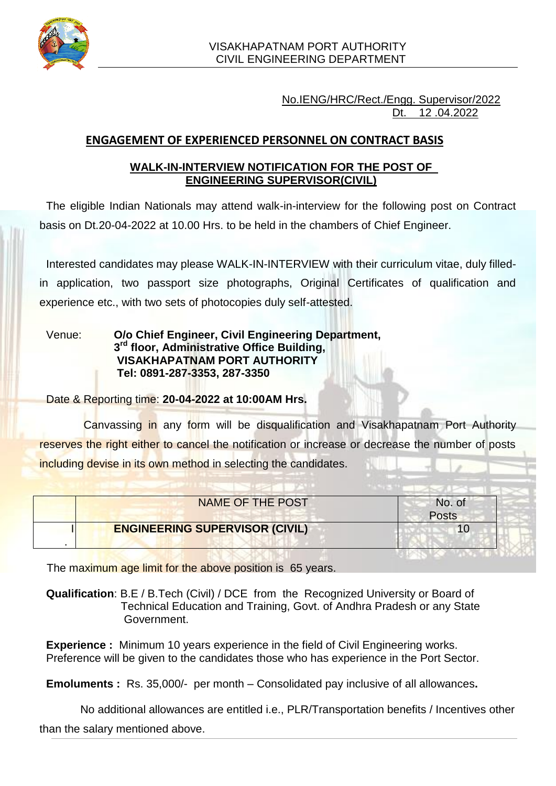

No.IENG/HRC/Rect./Engg. Supervisor/2022 Dt. 12 .04.2022

# **ENGAGEMENT OF EXPERIENCED PERSONNEL ON CONTRACT BASIS**

### **WALK-IN-INTERVIEW NOTIFICATION FOR THE POST OF ENGINEERING SUPERVISOR(CIVIL)**

The eligible Indian Nationals may attend walk-in-interview for the following post on Contract basis on Dt.20-04-2022 at 10.00 Hrs. to be held in the chambers of Chief Engineer.

Interested candidates may please WALK-IN-INTERVIEW with their curriculum vitae, duly filledin application, two passport size photographs, Original Certificates of qualification and experience etc., with two sets of photocopies duly self-attested.

Venue: **O/o Chief Engineer, Civil Engineering Department, 3 rd floor, Administrative Office Building, VISAKHAPATNAM PORT AUTHORITY Tel: 0891-287-3353, 287-3350**

Date & Reporting time: **20-04-2022 at 10:00AM Hrs.**

Canvassing in any form will be disqualification and Visakhapatnam Port Authority reserves the right either to cancel the notification or increase or decrease the number of posts including devise in its own method in selecting the candidates.

| NAME OF THE POST                      | No. of       |
|---------------------------------------|--------------|
|                                       | <b>Posts</b> |
| <b>ENGINEERING SUPERVISOR (CIVIL)</b> |              |

The maximum age limit for the above position is 65 years.

**Qualification**: B.E / B.Tech (Civil) / DCE from the Recognized University or Board of Technical Education and Training, Govt. of Andhra Pradesh or any State Government.

**Experience :** Minimum 10 years experience in the field of Civil Engineering works. Preference will be given to the candidates those who has experience in the Port Sector.

**Emoluments :** Rs. 35,000/- per month – Consolidated pay inclusive of all allowances**.**

No additional allowances are entitled i.e., PLR/Transportation benefits / Incentives other than the salary mentioned above.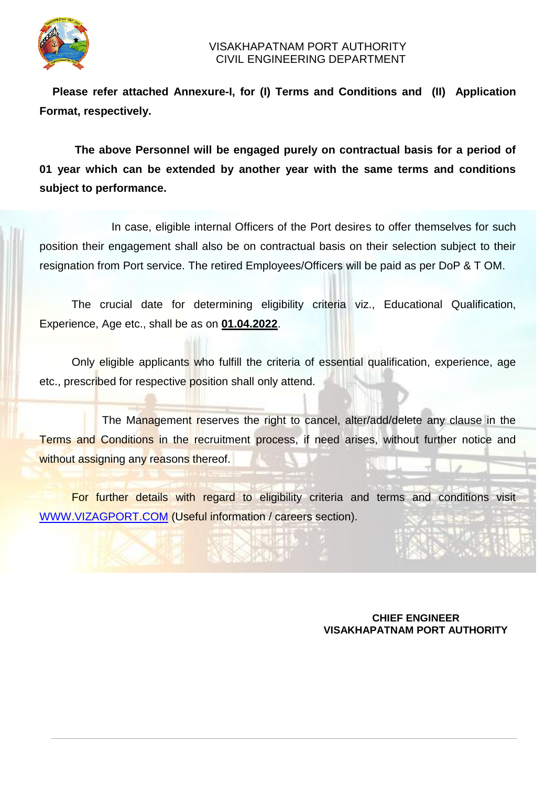

 **Please refer attached Annexure-I, for (I) Terms and Conditions and (II) Application Format, respectively.**

 **The above Personnel will be engaged purely on contractual basis for a period of 01 year which can be extended by another year with the same terms and conditions subject to performance.**

 In case, eligible internal Officers of the Port desires to offer themselves for such position their engagement shall also be on contractual basis on their selection subject to their resignation from Port service. The retired Employees/Officers will be paid as per DoP & T OM.

 The crucial date for determining eligibility criteria viz., Educational Qualification, Experience, Age etc., shall be as on **01.04.2022**.

 Only eligible applicants who fulfill the criteria of essential qualification, experience, age etc., prescribed for respective position shall only attend.

The Management reserves the right to cancel, alter/add/delete any clause in the Terms and Conditions in the recruitment process, if need arises, without further notice and without assigning any reasons thereof.

 For further details with regard to eligibility criteria and terms and conditions visit [WWW.VIZAGPORT.COM](http://www.vizagport.com/) (Useful information / careers section).

#### **CHIEF ENGINEER VISAKHAPATNAM PORT AUTHORITY**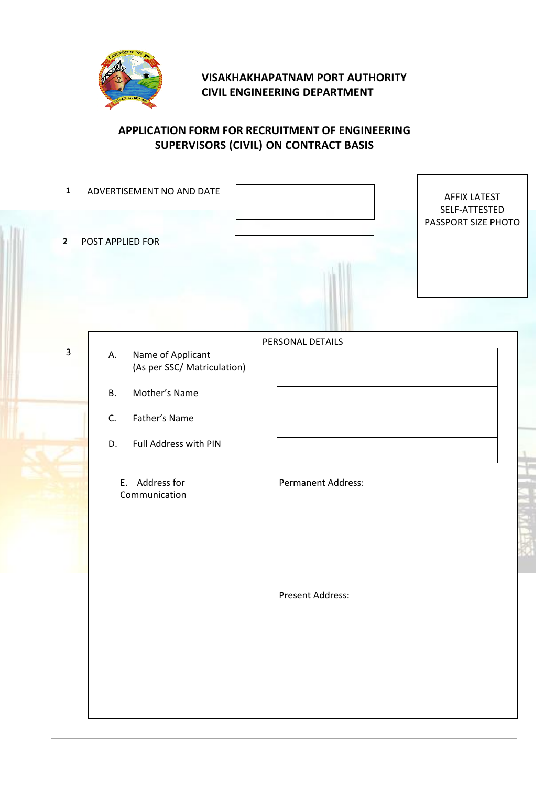

# **VISAKHAKHAPATNAM PORT AUTHORITY CIVIL ENGINEERING DEPARTMENT**

## **APPLICATION FORM FOR RECRUITMENT OF ENGINEERING SUPERVISORS (CIVIL) ON CONTRACT BASIS**

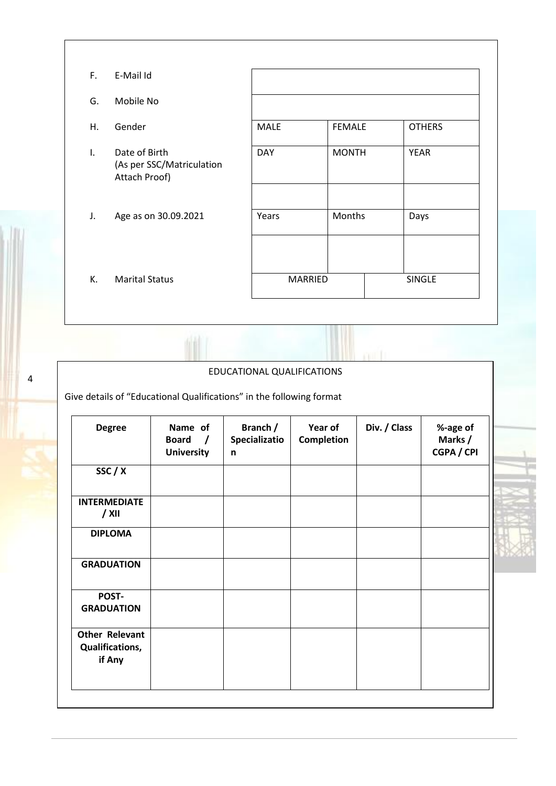| F.           | E-Mail Id                                                   |                |               |               |
|--------------|-------------------------------------------------------------|----------------|---------------|---------------|
| G.           | Mobile No                                                   |                |               |               |
| H.           | Gender                                                      | <b>MALE</b>    | <b>FEMALE</b> | <b>OTHERS</b> |
| $\mathsf{L}$ | Date of Birth<br>(As per SSC/Matriculation<br>Attach Proof) | <b>DAY</b>     | <b>MONTH</b>  | <b>YEAR</b>   |
| J.           | Age as on 30.09.2021                                        | Years          | Months        | Days          |
| К.           | <b>Marital Status</b>                                       | <b>MARRIED</b> |               | <b>SINGLE</b> |

EDUCATIONAL QUALIFICATIONS

conf1

Give details of "Educational Qualifications" in the following format

4

| <b>Degree</b>                                      | Name of<br><b>Board</b><br>$\prime$<br><b>University</b> | Branch /<br>Specializatio<br>n | Year of<br><b>Completion</b> | Div. / Class | %-age of<br>Marks /<br><b>CGPA / CPI</b> |
|----------------------------------------------------|----------------------------------------------------------|--------------------------------|------------------------------|--------------|------------------------------------------|
| SSC / X                                            |                                                          |                                |                              |              |                                          |
| <b>INTERMEDIATE</b><br>$/$ XII                     |                                                          |                                |                              |              |                                          |
| <b>DIPLOMA</b>                                     |                                                          |                                |                              |              |                                          |
| <b>GRADUATION</b>                                  |                                                          |                                |                              |              |                                          |
| POST-<br><b>GRADUATION</b>                         |                                                          |                                |                              |              |                                          |
| <b>Other Relevant</b><br>Qualifications,<br>if Any |                                                          |                                |                              |              |                                          |